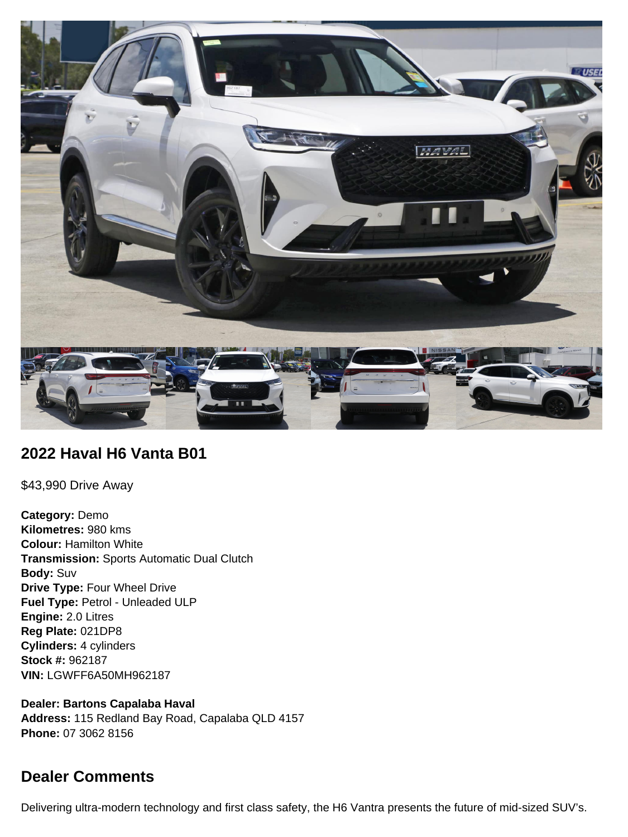

## **2022 Haval H6 Vanta B01**

\$43,990 Drive Away

**Category:** Demo **Kilometres:** 980 kms **Colour:** Hamilton White **Transmission:** Sports Automatic Dual Clutch **Body:** Suv **Drive Type:** Four Wheel Drive **Fuel Type:** Petrol - Unleaded ULP **Engine:** 2.0 Litres **Reg Plate:** 021DP8 **Cylinders:** 4 cylinders **Stock #:** 962187 **VIN:** LGWFF6A50MH962187

**Dealer: Bartons Capalaba Haval Address:** 115 Redland Bay Road, Capalaba QLD 4157 **Phone:** 07 3062 8156

# **Dealer Comments**

Delivering ultra-modern technology and first class safety, the H6 Vantra presents the future of mid-sized SUV's.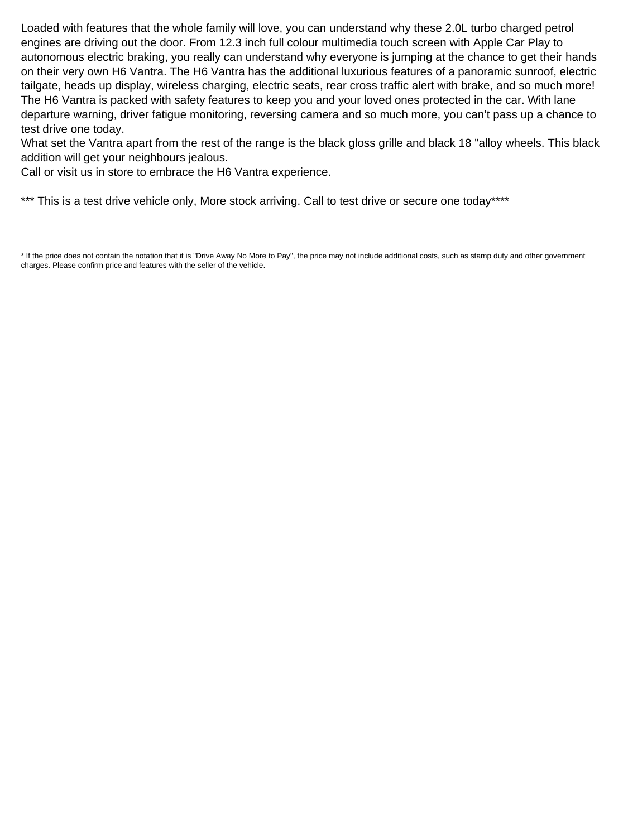Loaded with features that the whole family will love, you can understand why these 2.0L turbo charged petrol engines are driving out the door. From 12.3 inch full colour multimedia touch screen with Apple Car Play to autonomous electric braking, you really can understand why everyone is jumping at the chance to get their hands on their very own H6 Vantra. The H6 Vantra has the additional luxurious features of a panoramic sunroof, electric tailgate, heads up display, wireless charging, electric seats, rear cross traffic alert with brake, and so much more! The H6 Vantra is packed with safety features to keep you and your loved ones protected in the car. With lane departure warning, driver fatigue monitoring, reversing camera and so much more, you can't pass up a chance to test drive one today.

What set the Vantra apart from the rest of the range is the black gloss grille and black 18 "alloy wheels. This black addition will get your neighbours jealous.

Call or visit us in store to embrace the H6 Vantra experience.

\*\*\* This is a test drive vehicle only, More stock arriving. Call to test drive or secure one today\*\*\*\*

<sup>\*</sup> If the price does not contain the notation that it is "Drive Away No More to Pay", the price may not include additional costs, such as stamp duty and other government charges. Please confirm price and features with the seller of the vehicle.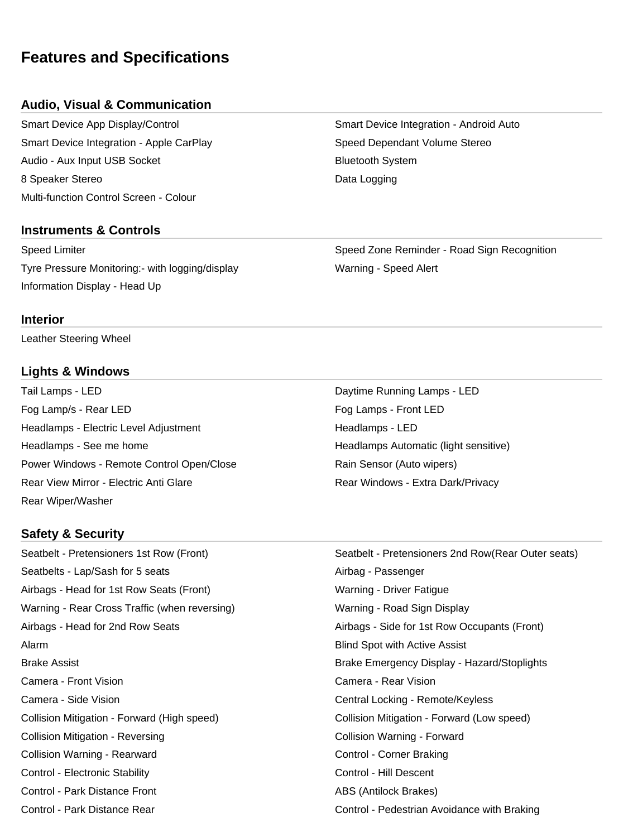# **Features and Specifications**

## **Audio, Visual & Communication**

Smart Device App Display/Control Smart Device Integration - Android Auto Smart Device Integration - Apple CarPlay Summan Speed Dependant Volume Stereo Audio - Aux Input USB Socket **Bluetooth System** Bluetooth System 8 Speaker Stereo **Data Logging Branch** Base Controller Management Controller Management Controller Management Controller Management Controller Management Controller Management Controller Management Controller Management Multi-function Control Screen - Colour

## **Instruments & Controls**

Tyre Pressure Monitoring:- with logging/display Warning - Speed Alert Information Display - Head Up

Speed Limiter Speed Zone Reminder - Road Sign Recognition

#### **Interior**

Leather Steering Wheel

## **Lights & Windows**

Tail Lamps - LED **Daytime Running Lamps - LED** Fog Lamp/s - Rear LED Fog Lamps - Front LED Headlamps - Electric Level Adjustment **Headlamps - LED** Headlamps - See me home **Headlamps Automatic (light sensitive)** Headlamps Automatic (light sensitive) Power Windows - Remote Control Open/Close **Rain Sensor (Auto wipers)** Rear View Mirror - Electric Anti Glare **Rear Windows - Extra Dark/Privacy** Rear Wiper/Washer

## **Safety & Security**

Seatbelts - Lap/Sash for 5 seats Airbag - Passenger Airbags - Head for 1st Row Seats (Front) Marring - Driver Fatigue Warning - Rear Cross Traffic (when reversing) Warning - Road Sign Display Airbags - Head for 2nd Row Seats Airbags - Side for 1st Row Occupants (Front) Alarm Blind Spot with Active Assist Camera - Front Vision Camera - Rear Vision Camera - Side Vision Central Locking - Remote/Keyless Collision Mitigation - Forward (High speed) Collision Mitigation - Forward (Low speed) Collision Mitigation - Reversing Collision Warning - Forward Collision Warning - Rearward **Collision Warning - Rearward** Control - Corner Braking Control - Electronic Stability **Control - Electronic Stability** Control - Hill Descent Control - Park Distance Front ABS (Antilock Brakes) Control - Park Distance Rear Control - Pedestrian Avoidance with Braking

Seatbelt - Pretensioners 1st Row (Front) Seatbelt - Pretensioners 2nd Row(Rear Outer seats) Brake Assist Brake Emergency Display - Hazard/Stoplights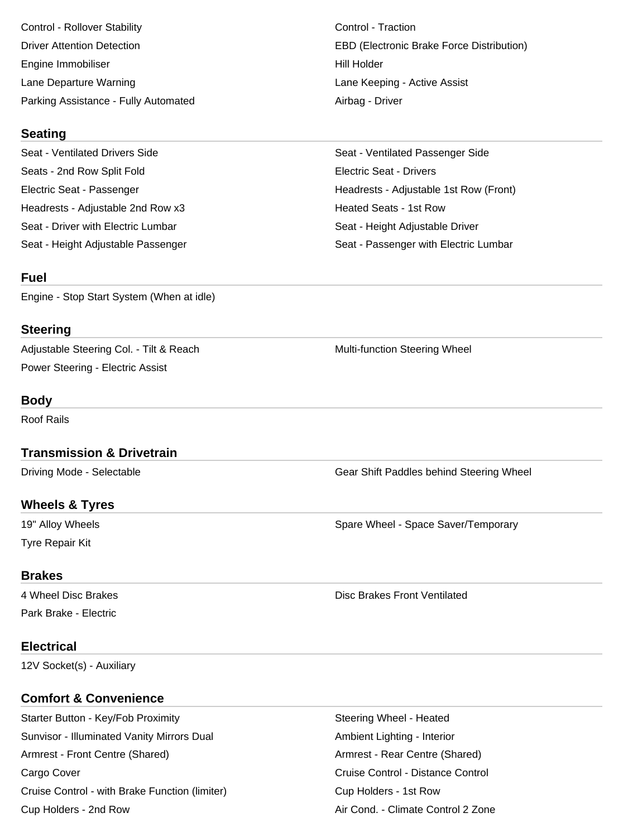Control - Rollover Stability Control - Traction Engine Immobiliser National According to the Hill Holder Lane Departure Warning **Lane Active Assist** Lane Keeping - Active Assist Parking Assistance - Fully Automated **Airbag - Driver** Airbag - Driver

#### **Seating**

Seat - Ventilated Drivers Side Seat - Ventilated Passenger Side Seats - 2nd Row Split Fold **Electric Seat - Drivers** Headrests - Adjustable 2nd Row x3 Heated Seats - 1st Row Seat - Driver with Electric Lumbar Seat - Height Adjustable Driver Seat - Height Adjustable Passenger Seat - Passenger with Electric Lumbar

#### **Fuel**

Engine - Stop Start System (When at idle)

## **Steering**

Adjustable Steering Col. - Tilt & Reach Multi-function Steering Wheel Power Steering - Electric Assist

## **Body**

Roof Rails

## **Transmission & Drivetrain**

Driving Mode - Selectable Gear Shift Paddles behind Steering Wheel

## **Wheels & Tyres**

Tyre Repair Kit

19" Alloy Wheels Spare Wheel - Space Saver/Temporary Spare Wheel - Space Saver/Temporary

#### **Brakes**

Park Brake - Electric

#### 4 Wheel Disc Brakes **Disc Brakes Front Ventilated Disc Brakes Front Ventilated**

## **Electrical**

12V Socket(s) - Auxiliary

## **Comfort & Convenience**

Starter Button - Key/Fob Proximity **Starter Steering Wheel - Heated** Steering Wheel - Heated Sunvisor - Illuminated Vanity Mirrors Dual Ambient Lighting - Interior Armrest - Front Centre (Shared) **Armrest - Rear Centre (Shared**) **Armrest - Rear Centre (Shared**) Cargo Cover **Cargo Cover Cruise Control - Distance Control** Cruise Control - Distance Control Cruise Control - with Brake Function (limiter) Cup Holders - 1st Row Cup Holders - 2nd Row **Air Cond. - Climate Control 2 Zone** Air Cond. - Climate Control 2 Zone

Driver Attention Detection EBD (Electronic Brake Force Distribution)

Electric Seat - Passenger Headrests - Adjustable 1st Row (Front)